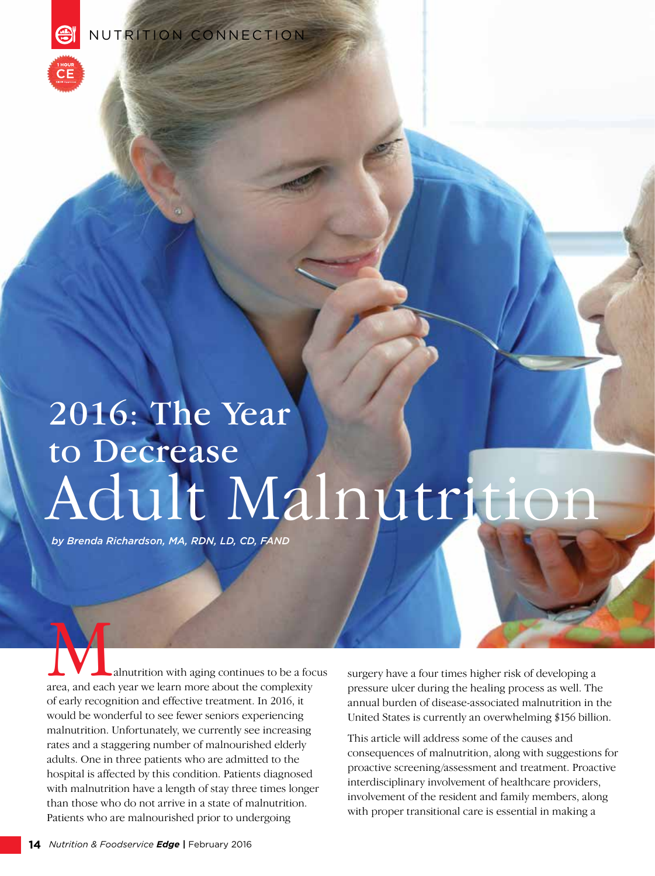NUTRITION CONNECTION

# Adult Malnutrition 2016: The Year to Decrease

*by Brenda Richardson, MA, RDN, LD, CD, FAND*

**A**<br>
alnutrition with aging continues to be a focus<br>
area, and each year we learn more about the complexity of early recognition and effective treatment. In 2016, it would be wonderful to see fewer seniors experiencing malnutrition. Unfortunately, we currently see increasing rates and a staggering number of malnourished elderly adults. One in three patients who are admitted to the hospital is affected by this condition. Patients diagnosed with malnutrition have a length of stay three times longer than those who do not arrive in a state of malnutrition. Patients who are malnourished prior to undergoing

surgery have a four times higher risk of developing a pressure ulcer during the healing process as well. The annual burden of disease-associated malnutrition in the United States is currently an overwhelming \$156 billion.

This article will address some of the causes and consequences of malnutrition, along with suggestions for proactive screening/assessment and treatment. Proactive interdisciplinary involvement of healthcare providers, involvement of the resident and family members, along with proper transitional care is essential in making a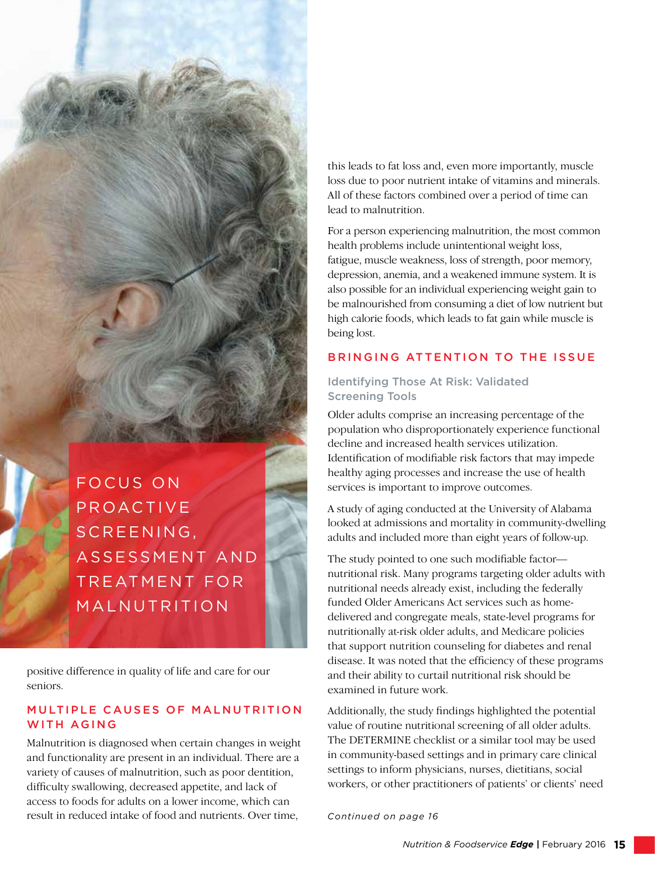FOCUS ON PROACTIVE S C R E E N I N G, ASSESSMENT AND TREATMENT FOR MALNUTRITION

positive difference in quality of life and care for our seniors.

#### MULTIPLE CAUSES OF MALNUTRITION WITH AGING

Malnutrition is diagnosed when certain changes in weight and functionality are present in an individual. There are a variety of causes of malnutrition, such as poor dentition, difficulty swallowing, decreased appetite, and lack of access to foods for adults on a lower income, which can result in reduced intake of food and nutrients. Over time, *Continued on page 16*

this leads to fat loss and, even more importantly, muscle loss due to poor nutrient intake of vitamins and minerals. All of these factors combined over a period of time can lead to malnutrition.

For a person experiencing malnutrition, the most common health problems include unintentional weight loss, fatigue, muscle weakness, loss of strength, poor memory, depression, anemia, and a weakened immune system. It is also possible for an individual experiencing weight gain to be malnourished from consuming a diet of low nutrient but high calorie foods, which leads to fat gain while muscle is being lost.

#### BRINGING ATTENTION TO THE ISSUE

#### Identifying Those At Risk: Validated Screening Tools

Older adults comprise an increasing percentage of the population who disproportionately experience functional decline and increased health services utilization. Identification of modifiable risk factors that may impede healthy aging processes and increase the use of health services is important to improve outcomes.

A study of aging conducted at the University of Alabama looked at admissions and mortality in community-dwelling adults and included more than eight years of follow-up.

The study pointed to one such modifiable factor nutritional risk. Many programs targeting older adults with nutritional needs already exist, including the federally funded Older Americans Act services such as homedelivered and congregate meals, state-level programs for nutritionally at-risk older adults, and Medicare policies that support nutrition counseling for diabetes and renal disease. It was noted that the efficiency of these programs and their ability to curtail nutritional risk should be examined in future work.

Additionally, the study findings highlighted the potential value of routine nutritional screening of all older adults. The DETERMINE checklist or a similar tool may be used in community-based settings and in primary care clinical settings to inform physicians, nurses, dietitians, social workers, or other practitioners of patients' or clients' need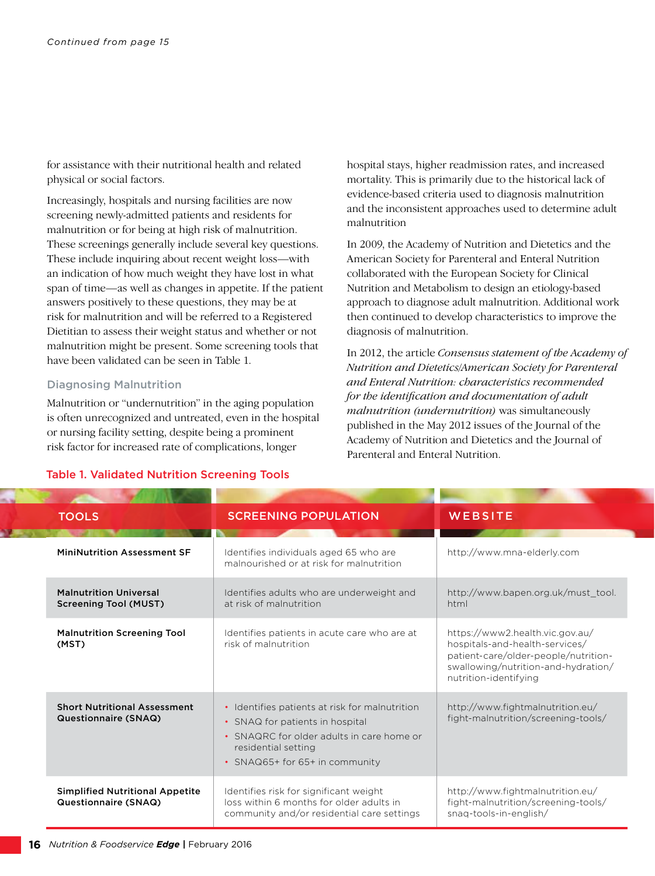for assistance with their nutritional health and related physical or social factors.

Increasingly, hospitals and nursing facilities are now screening newly-admitted patients and residents for malnutrition or for being at high risk of malnutrition. These screenings generally include several key questions. These include inquiring about recent weight loss—with an indication of how much weight they have lost in what span of time—as well as changes in appetite. If the patient answers positively to these questions, they may be at risk for malnutrition and will be referred to a Registered Dietitian to assess their weight status and whether or not malnutrition might be present. Some screening tools that have been validated can be seen in Table 1.

#### Diagnosing Malnutrition

Malnutrition or "undernutrition" in the aging population is often unrecognized and untreated, even in the hospital or nursing facility setting, despite being a prominent risk factor for increased rate of complications, longer

hospital stays, higher readmission rates, and increased mortality. This is primarily due to the historical lack of evidence-based criteria used to diagnosis malnutrition and the inconsistent approaches used to determine adult malnutrition

In 2009, the Academy of Nutrition and Dietetics and the American Society for Parenteral and Enteral Nutrition collaborated with the European Society for Clinical Nutrition and Metabolism to design an etiology-based approach to diagnose adult malnutrition. Additional work then continued to develop characteristics to improve the diagnosis of malnutrition.

In 2012, the article *Consensus statement of the Academy of Nutrition and Dietetics/American Society for Parenteral and Enteral Nutrition: characteristics recommended for the identification and documentation of adult malnutrition (undernutrition)* was simultaneously published in the May 2012 issues of the Journal of the Academy of Nutrition and Dietetics and the Journal of Parenteral and Enteral Nutrition.

| <b>TOOLS</b>                                                   | <b>SCREENING POPULATION</b>                                                                                                                                                             | WEBSITE                                                                                                                                                                   |
|----------------------------------------------------------------|-----------------------------------------------------------------------------------------------------------------------------------------------------------------------------------------|---------------------------------------------------------------------------------------------------------------------------------------------------------------------------|
| <b>MiniNutrition Assessment SF</b>                             | Identifies individuals aged 65 who are<br>malnourished or at risk for malnutrition                                                                                                      | http://www.mna-elderly.com                                                                                                                                                |
| <b>Malnutrition Universal</b><br><b>Screening Tool (MUST)</b>  | Identifies adults who are underweight and<br>at risk of malnutrition                                                                                                                    | http://www.bapen.org.uk/must_tool.<br>html                                                                                                                                |
| <b>Malnutrition Screening Tool</b><br>(MST)                    | Identifies patients in acute care who are at<br>risk of malnutrition                                                                                                                    | https://www2.health.vic.gov.au/<br>hospitals-and-health-services/<br>patient-care/older-people/nutrition-<br>swallowing/nutrition-and-hydration/<br>nutrition-identifying |
| <b>Short Nutritional Assessment</b><br>Questionnaire (SNAQ)    | • Identifies patients at risk for malnutrition<br>• SNAQ for patients in hospital<br>• SNAQRC for older adults in care home or<br>residential setting<br>• SNAQ65+ for 65+ in community | http://www.fightmalnutrition.eu/<br>fight-malnutrition/screening-tools/                                                                                                   |
| <b>Simplified Nutritional Appetite</b><br>Questionnaire (SNAQ) | Identifies risk for significant weight<br>loss within 6 months for older adults in<br>community and/or residential care settings                                                        | http://www.fightmalnutrition.eu/<br>fight-malnutrition/screening-tools/<br>snag-tools-in-english/                                                                         |

#### Table 1. Validated Nutrition Screening Tools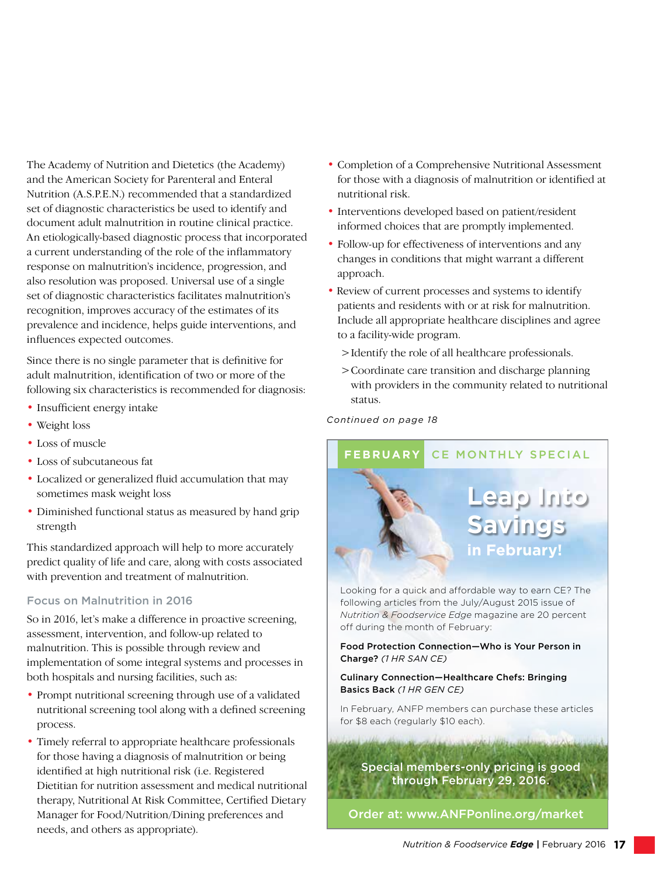The Academy of Nutrition and Dietetics (the Academy) and the American Society for Parenteral and Enteral Nutrition (A.S.P.E.N.) recommended that a standardized set of diagnostic characteristics be used to identify and document adult malnutrition in routine clinical practice. An etiologically-based diagnostic process that incorporated a current understanding of the role of the inflammatory response on malnutrition's incidence, progression, and also resolution was proposed. Universal use of a single set of diagnostic characteristics facilitates malnutrition's recognition, improves accuracy of the estimates of its prevalence and incidence, helps guide interventions, and influences expected outcomes.

Since there is no single parameter that is definitive for adult malnutrition, identification of two or more of the following six characteristics is recommended for diagnosis:

- Insufficient energy intake
- Weight loss
- Loss of muscle
- Loss of subcutaneous fat
- Localized or generalized fluid accumulation that may sometimes mask weight loss
- Diminished functional status as measured by hand grip strength

This standardized approach will help to more accurately predict quality of life and care, along with costs associated with prevention and treatment of malnutrition.

#### Focus on Malnutrition in 2016

So in 2016, let's make a difference in proactive screening, assessment, intervention, and follow-up related to malnutrition. This is possible through review and implementation of some integral systems and processes in both hospitals and nursing facilities, such as:

- Prompt nutritional screening through use of a validated nutritional screening tool along with a defined screening process.
- Timely referral to appropriate healthcare professionals for those having a diagnosis of malnutrition or being identified at high nutritional risk (i.e. Registered Dietitian for nutrition assessment and medical nutritional therapy, Nutritional At Risk Committee, Certified Dietary Manager for Food/Nutrition/Dining preferences and needs, and others as appropriate).
- Completion of a Comprehensive Nutritional Assessment for those with a diagnosis of malnutrition or identified at nutritional risk.
- Interventions developed based on patient/resident informed choices that are promptly implemented.
- Follow-up for effectiveness of interventions and any changes in conditions that might warrant a different approach.
- Review of current processes and systems to identify patients and residents with or at risk for malnutrition. Include all appropriate healthcare disciplines and agree to a facility-wide program.
	- >Identify the role of all healthcare professionals.
	- >Coordinate care transition and discharge planning with providers in the community related to nutritional status.

*Continued on page 18*



Looking for a quick and affordable way to earn CE? The following articles from the July/August 2015 issue of *Nutrition & Foodservice Edge* magazine are 20 percent off during the month of February:

Food Protection Connection—Who is Your Person in Charge? *(1 HR SAN CE)*

Culinary Connection—Healthcare Chefs: Bringing Basics Back *(1 HR GEN CE)*

In February, ANFP members can purchase these articles for \$8 each (regularly \$10 each).

Special members-only pricing is good through February 29, 2016.

Order at: www.ANFPonline.org/market